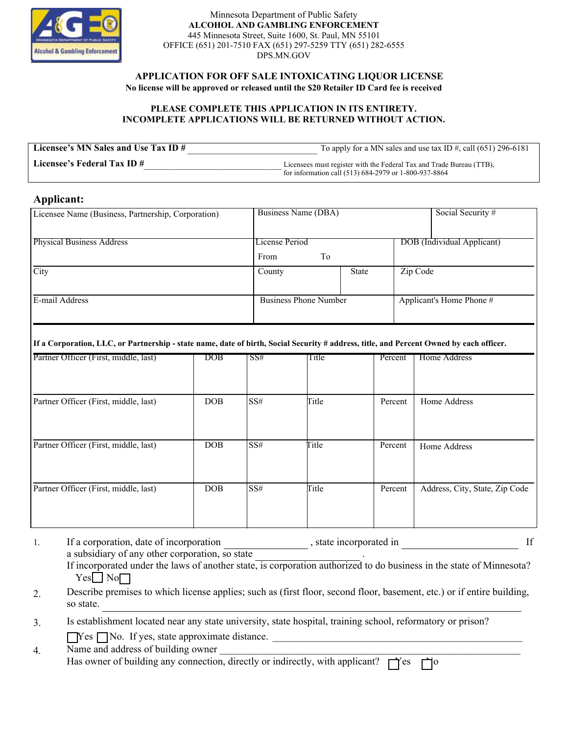

Minnesota Department of Public Safety **ALCOHOL AND GAMBLING ENFORCEMENT**  445 Minnesota Street, Suite 1600, St. Paul, MN 55101 OFFICE (651) 201-7510 FAX (651) 297-5259 TTY (651) 282-6555 DPS.MN.GOV

 **APPLICATION FOR OFF SALE INTOXICATING LIQUOR LICENSE**

**No license will be approved or released until the \$20 Retailer ID Card fee is received**

## **PLEASE COMPLETE THIS APPLICATION IN ITS ENTIRETY. INCOMPLETE APPLICATIONS WILL BE RETURNED WITHOUT ACTION.**

| Licensee's MN Sales and Use Tax ID # | To apply for a MN sales and use tax ID $\#$ , call (651) 296-6181    |
|--------------------------------------|----------------------------------------------------------------------|
| Licensee's Federal Tax ID $#$        | Licensees must register with the Federal Tax and Trade Bureau (TTB), |
|                                      | for information call (513) 684-2979 or 1-800-937-8864                |

## **Applicant:**

| Licensee Name (Business, Partnership, Corporation) | Business Name (DBA)          |              |                            | Social Security #        |
|----------------------------------------------------|------------------------------|--------------|----------------------------|--------------------------|
|                                                    |                              |              |                            |                          |
| <b>Physical Business Address</b>                   | License Period               |              | DOB (Individual Applicant) |                          |
|                                                    | To<br>From                   |              |                            |                          |
| City                                               | County                       | <b>State</b> | Zip Code                   |                          |
|                                                    |                              |              |                            |                          |
| E-mail Address                                     | <b>Business Phone Number</b> |              |                            | Applicant's Home Phone # |
|                                                    |                              |              |                            |                          |

## **If a Corporation, LLC, or Partnership - state name, date of birth, Social Security # address, title, and Percent Owned by each officer.**

| Partner Officer (First, middle, last) | $\overline{\mathrm{DOB}}$ | SS#  | Title | Percent | Home Address                   |
|---------------------------------------|---------------------------|------|-------|---------|--------------------------------|
|                                       |                           |      |       |         |                                |
| Partner Officer (First, middle, last) | DOB                       | SS#  | Title | Percent | Home Address                   |
| Partner Officer (First, middle, last) | DOB                       | SS#  | Title | Percent | Home Address                   |
| Partner Officer (First, middle, last) | DOB                       | ISS# | Title | Percent | Address, City, State, Zip Code |
|                                       |                           |      |       |         |                                |
|                                       |                           |      |       |         |                                |

|  | If a corporation, date of incorporation                                                                               | , state incorporated in |  |
|--|-----------------------------------------------------------------------------------------------------------------------|-------------------------|--|
|  | a subsidiary of any other corporation, so state                                                                       |                         |  |
|  | If incorporated under the laws of another state, is corporation authorized to do business in the state of Minnesota?  |                         |  |
|  | $Yes \Box No \Box$                                                                                                    |                         |  |
|  | Describe premises to which license applies: such as (first floor, second floor, basement, etc.) or if entire building |                         |  |

2. Describe premises to which license applies; such as (first floor, second floor, basement, etc.) or if entire building, so state.

\_\_\_\_\_\_\_\_\_\_\_\_\_\_\_\_\_\_\_\_\_\_\_\_\_\_\_\_\_\_\_\_\_\_\_\_\_\_\_\_\_\_\_\_\_\_\_\_\_

3. Is establishment located near any state university, state hospital, training school, reformatory or prison?

 $\Box$  Yes  $\Box$  No. If yes, state approximate distance.

| Name and address of building owner                                                      |  |  |
|-----------------------------------------------------------------------------------------|--|--|
| Has owner of building any connection, directly or indirectly, with applicant? $\Box$ es |  |  |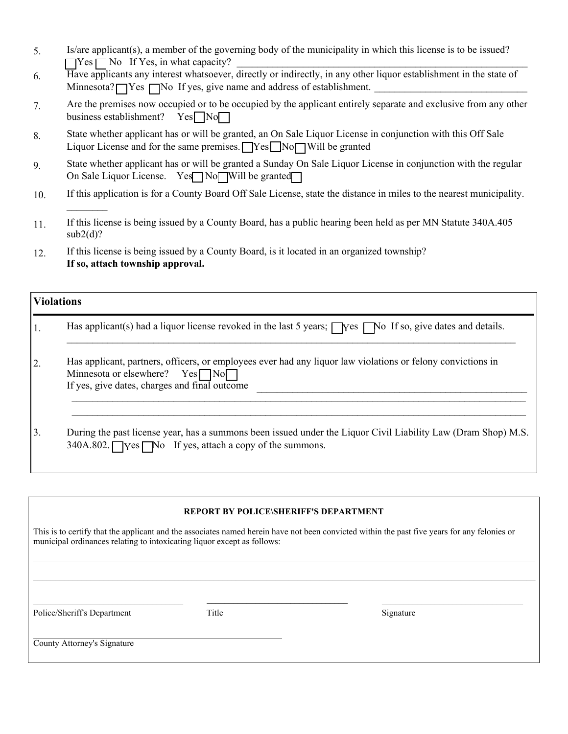- 5. Is/are applicant(s), a member of the governing body of the municipality in which this license is to be issued?  $\Box$  Yes  $\Box$  No If Yes, in what capacity?
- 6. Have applicants any interest whatsoever, directly or indirectly, in any other liquor establishment in the state of Minnesota?  $\Box$  Yes  $\Box$  No If yes, give name and address of establishment.
- 7. Are the premises now occupied or to be occupied by the applicant entirely separate and exclusive from any other business establishment? Yes<sup>No</sup> business establishment?
- 8. State whether applicant has or will be granted, an On Sale Liquor License in conjunction with this Off Sale Liquor License and for the same premises.  $\Box$  Yes  $\Box$  No  $\Box$  Will be granted
- 9. State whether applicant has or will be granted a Sunday On Sale Liquor License in conjunction with the regular On Sale Liquor License. Yes No Will be granted
- 10. If this application is for a County Board Off Sale License, state the distance in miles to the nearest municipality.
- 11. If this license is being issued by a County Board, has a public hearing been held as per MN Statute 340A.405  $sub2(d)$ ?
- 12. If this license is being issued by a County Board, is it located in an organized township? **If so, attach township approval.**

|    | <b>Violations</b>                                                                                                                                                                                          |  |  |  |  |
|----|------------------------------------------------------------------------------------------------------------------------------------------------------------------------------------------------------------|--|--|--|--|
|    | Has applicant(s) had a liquor license revoked in the last 5 years; $\Box$ Yes $\Box$ No If so, give dates and details.                                                                                     |  |  |  |  |
| 2. | Has applicant, partners, officers, or employees ever had any liquor law violations or felony convictions in<br>Minnesota or elsewhere? $Yes \Box No \Box$<br>If yes, give dates, charges and final outcome |  |  |  |  |
| 3. | During the past license year, has a summons been issued under the Liquor Civil Liability Law (Dram Shop) M.S.<br>340A.802. Yes No If yes, attach a copy of the summons.                                    |  |  |  |  |

## **REPORT BY POLICE\SHERIFF'S DEPARTMENT**

 $\_$  , and the set of the set of the set of the set of the set of the set of the set of the set of the set of the set of the set of the set of the set of the set of the set of the set of the set of the set of the set of th

 $\_$  , and the state of the state of the state of the state of the state of the state of the state of the state of the state of the state of the state of the state of the state of the state of the state of the state of the

This is to certify that the applicant and the associates named herein have not been convicted within the past five years for any felonies or municipal ordinances relating to intoxicating liquor except as follows:  $\_$  , and the set of the set of the set of the set of the set of the set of the set of the set of the set of the set of the set of the set of the set of the set of the set of the set of the set of the set of the set of th

Police/Sheriff's Department Title Signature Signature

 $\frac{1}{2}$ 

County Attorney's Signature